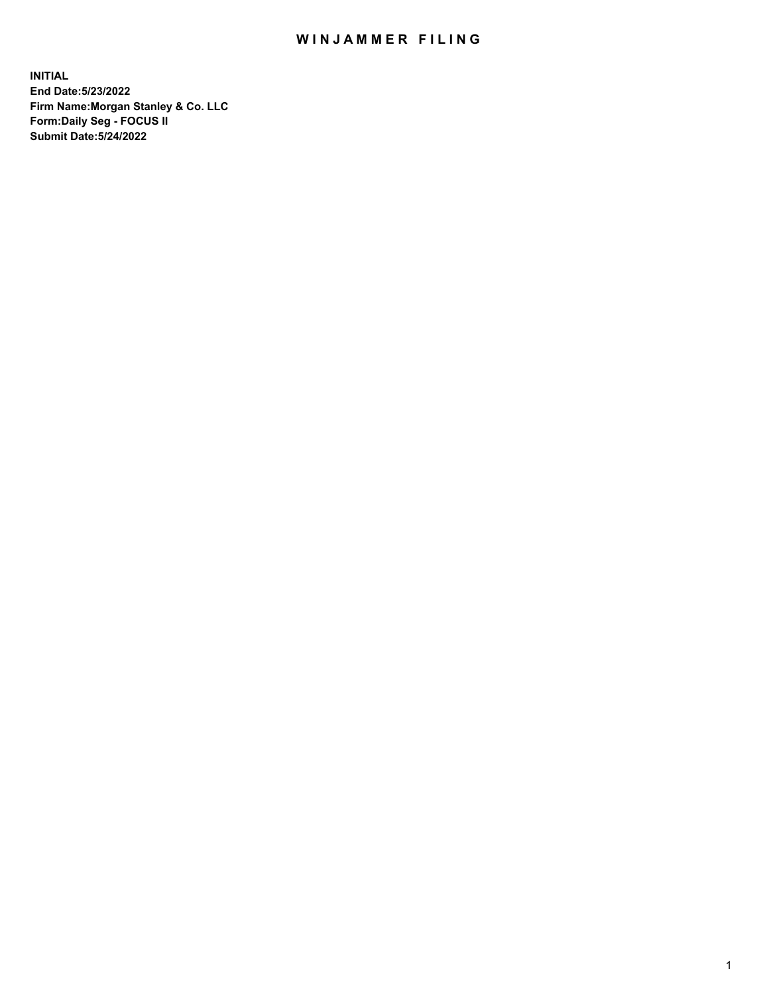## WIN JAMMER FILING

**INITIAL End Date:5/23/2022 Firm Name:Morgan Stanley & Co. LLC Form:Daily Seg - FOCUS II Submit Date:5/24/2022**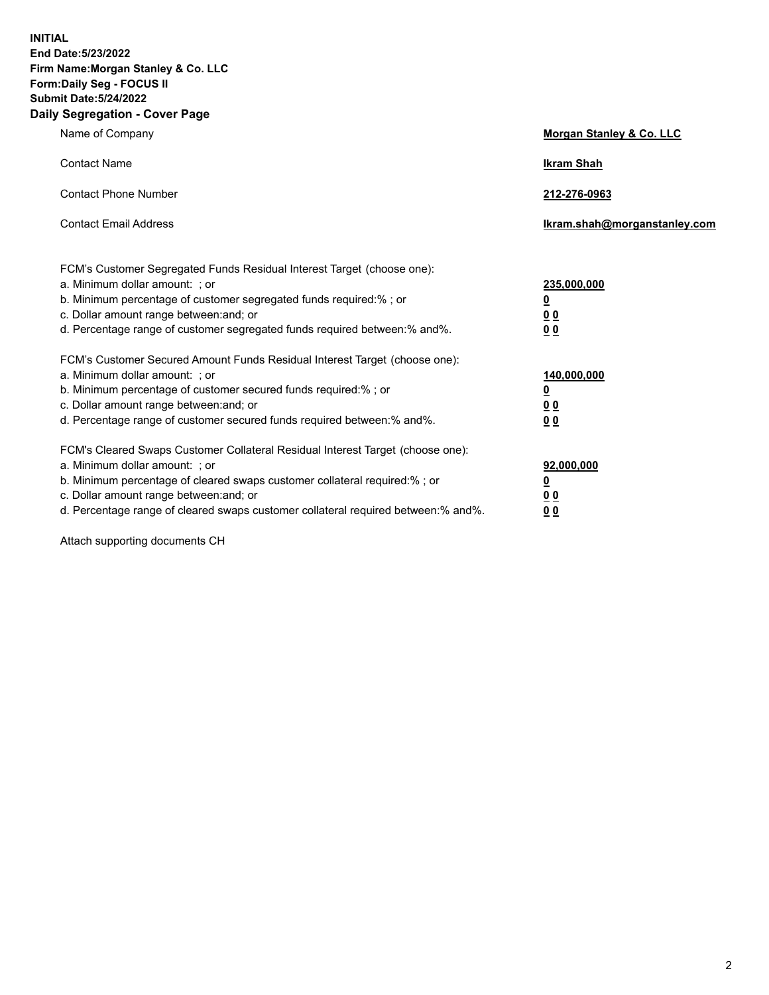**INITIAL End Date:5/23/2022 Firm Name:Morgan Stanley & Co. LLC Form:Daily Seg - FOCUS II Submit Date:5/24/2022 Daily Segregation - Cover Page**

| Name of Company                                                                                                                                                                                                                                                                                                                | <b>Morgan Stanley &amp; Co. LLC</b>                    |
|--------------------------------------------------------------------------------------------------------------------------------------------------------------------------------------------------------------------------------------------------------------------------------------------------------------------------------|--------------------------------------------------------|
| <b>Contact Name</b>                                                                                                                                                                                                                                                                                                            | <b>Ikram Shah</b>                                      |
| <b>Contact Phone Number</b>                                                                                                                                                                                                                                                                                                    | 212-276-0963                                           |
| <b>Contact Email Address</b>                                                                                                                                                                                                                                                                                                   | Ikram.shah@morganstanley.com                           |
| FCM's Customer Segregated Funds Residual Interest Target (choose one):<br>a. Minimum dollar amount: : or<br>b. Minimum percentage of customer segregated funds required:%; or<br>c. Dollar amount range between: and; or<br>d. Percentage range of customer segregated funds required between:% and%.                          | 235,000,000<br><u>0</u><br><u>00</u><br><u>00</u>      |
| FCM's Customer Secured Amount Funds Residual Interest Target (choose one):<br>a. Minimum dollar amount: ; or<br>b. Minimum percentage of customer secured funds required:%; or<br>c. Dollar amount range between: and; or<br>d. Percentage range of customer secured funds required between:% and%.                            | 140,000,000<br><u>0</u><br><u>00</u><br>0 <sub>0</sub> |
| FCM's Cleared Swaps Customer Collateral Residual Interest Target (choose one):<br>a. Minimum dollar amount: ; or<br>b. Minimum percentage of cleared swaps customer collateral required:% ; or<br>c. Dollar amount range between: and; or<br>d. Percentage range of cleared swaps customer collateral required between:% and%. | 92,000,000<br><u>0</u><br><u>00</u><br>00              |

Attach supporting documents CH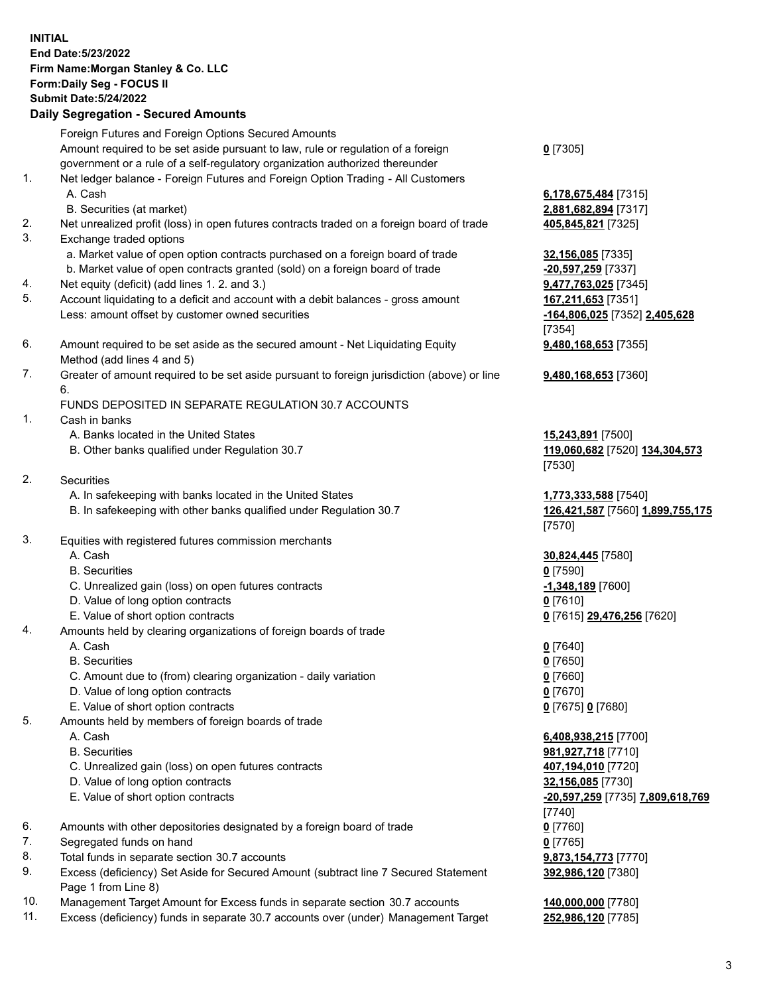## **INITIAL End Date:5/23/2022 Firm Name:Morgan Stanley & Co. LLC Form:Daily Seg - FOCUS II Submit Date:5/24/2022 Daily Segregation - Secured Amounts** Foreign Futures and Foreign Options Secured Amounts Amount required to be set aside pursuant to law, rule or regulation of a foreign government or a rule of a self-regulatory organization authorized thereunder 1. Net ledger balance - Foreign Futures and Foreign Option Trading - All Customers A. Cash **6,178,675,484** [7315] B. Securities (at market) **2,881,682,894** [7317] 2. Net unrealized profit (loss) in open futures contracts traded on a foreign board of trade **405,845,821** [7325] 3. Exchange traded options a. Market value of open option contracts purchased on a foreign board of trade **32,156,085** [7335] b. Market value of open contracts granted (sold) on a foreign board of trade **-20,597,259** [7337] 4. Net equity (deficit) (add lines 1. 2. and 3.) **9,477,763,025** [7345] 5. Account liquidating to a deficit and account with a debit balances - gross amount **167,211,653** [7351] Less: amount offset by customer owned securities **-164,806,025** [7352] **2,405,628** 6. Amount required to be set aside as the secured amount - Net Liquidating Equity Method (add lines 4 and 5) 7. Greater of amount required to be set aside pursuant to foreign jurisdiction (above) or line 6. FUNDS DEPOSITED IN SEPARATE REGULATION 30.7 ACCOUNTS

- 1. Cash in banks
	- A. Banks located in the United States **15,243,891** [7500]
	- B. Other banks qualified under Regulation 30.7 **119,060,682** [7520] **134,304,573**
- 2. Securities
	- A. In safekeeping with banks located in the United States **1,773,333,588** [7540]
	- B. In safekeeping with other banks qualified under Regulation 30.7 **126,421,587** [7560] **1,899,755,175**
- 3. Equities with registered futures commission merchants
	-
	- B. Securities **0** [7590]
	- C. Unrealized gain (loss) on open futures contracts **-1,348,189** [7600]
	- D. Value of long option contracts **0** [7610]
	- E. Value of short option contracts **0** [7615] **29,476,256** [7620]
- 4. Amounts held by clearing organizations of foreign boards of trade
	- A. Cash **0** [7640]
	- B. Securities **0** [7650]
	- C. Amount due to (from) clearing organization daily variation **0** [7660]
	- D. Value of long option contracts **0** [7670]
	- E. Value of short option contracts **0** [7675] **0** [7680]
- 5. Amounts held by members of foreign boards of trade
	-
	-
	- C. Unrealized gain (loss) on open futures contracts **407,194,010** [7720]
	- D. Value of long option contracts **32,156,085** [7730]
	- E. Value of short option contracts **-20,597,259** [7735] **7,809,618,769**
- 6. Amounts with other depositories designated by a foreign board of trade **0** [7760]
- 7. Segregated funds on hand **0** [7765]
- 8. Total funds in separate section 30.7 accounts **9,873,154,773** [7770]
- 9. Excess (deficiency) Set Aside for Secured Amount (subtract line 7 Secured Statement Page 1 from Line 8)
- 10. Management Target Amount for Excess funds in separate section 30.7 accounts **140,000,000** [7780]
- 11. Excess (deficiency) funds in separate 30.7 accounts over (under) Management Target **252,986,120** [7785]

**0** [7305]

[7354] **9,480,168,653** [7355]

**9,480,168,653** [7360]

[7530]

[7570]

A. Cash **30,824,445** [7580]

 A. Cash **6,408,938,215** [7700] B. Securities **981,927,718** [7710] [7740] **392,986,120** [7380]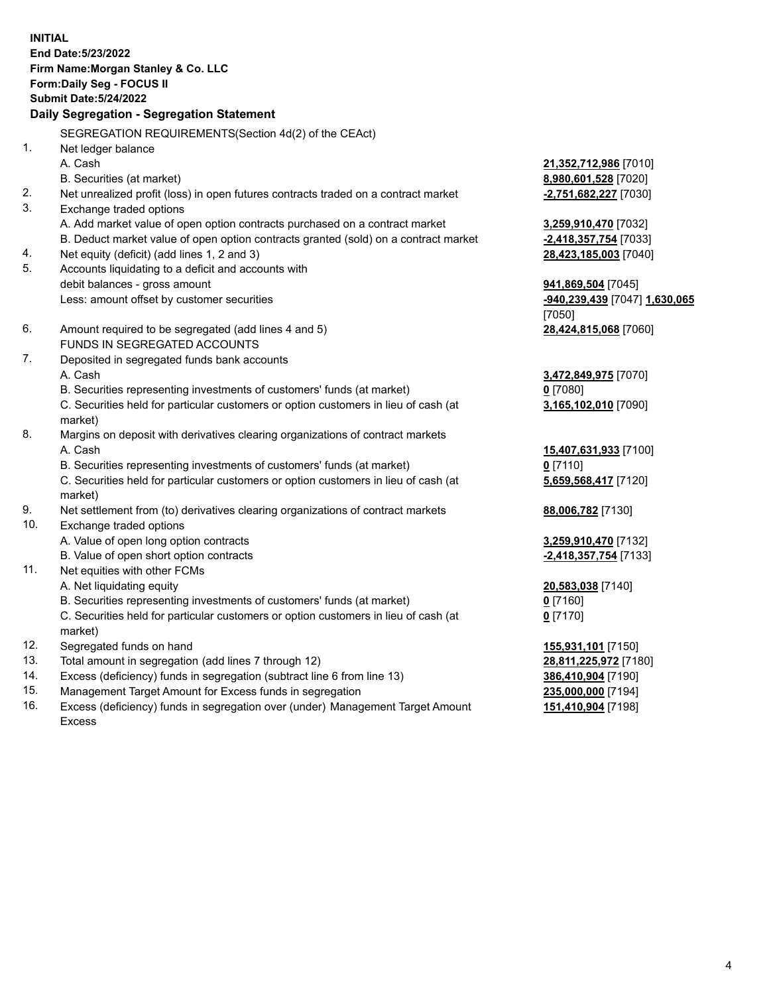**INITIAL End Date:5/23/2022 Firm Name:Morgan Stanley & Co. LLC Form:Daily Seg - FOCUS II Submit Date:5/24/2022 Daily Segregation - Segregation Statement** SEGREGATION REQUIREMENTS(Section 4d(2) of the CEAct) 1. Net ledger balance A. Cash **21,352,712,986** [7010] B. Securities (at market) **8,980,601,528** [7020] 2. Net unrealized profit (loss) in open futures contracts traded on a contract market **-2,751,682,227** [7030] 3. Exchange traded options A. Add market value of open option contracts purchased on a contract market **3,259,910,470** [7032] B. Deduct market value of open option contracts granted (sold) on a contract market **-2,418,357,754** [7033] 4. Net equity (deficit) (add lines 1, 2 and 3) **28,423,185,003** [7040] 5. Accounts liquidating to a deficit and accounts with debit balances - gross amount **941,869,504** [7045] Less: amount offset by customer securities **-940,239,439** [7047] **1,630,065** [7050] 6. Amount required to be segregated (add lines 4 and 5) **28,424,815,068** [7060] FUNDS IN SEGREGATED ACCOUNTS 7. Deposited in segregated funds bank accounts A. Cash **3,472,849,975** [7070] B. Securities representing investments of customers' funds (at market) **0** [7080] C. Securities held for particular customers or option customers in lieu of cash (at market) **3,165,102,010** [7090] 8. Margins on deposit with derivatives clearing organizations of contract markets A. Cash **15,407,631,933** [7100] B. Securities representing investments of customers' funds (at market) **0** [7110] C. Securities held for particular customers or option customers in lieu of cash (at market) **5,659,568,417** [7120] 9. Net settlement from (to) derivatives clearing organizations of contract markets **88,006,782** [7130] 10. Exchange traded options A. Value of open long option contracts **3,259,910,470** [7132] B. Value of open short option contracts **and the set of our of the set of our of the set of the set of the set of the set of the set of the set of the set of the set of the set of the set of the set of the set of the set o** 11. Net equities with other FCMs A. Net liquidating equity **20,583,038** [7140] B. Securities representing investments of customers' funds (at market) **0** [7160] C. Securities held for particular customers or option customers in lieu of cash (at market) **0** [7170] 12. Segregated funds on hand **155,931,101** [7150] 13. Total amount in segregation (add lines 7 through 12) **28,811,225,972** [7180] 14. Excess (deficiency) funds in segregation (subtract line 6 from line 13) **386,410,904** [7190] 15. Management Target Amount for Excess funds in segregation **235,000,000** [7194]

16. Excess (deficiency) funds in segregation over (under) Management Target Amount Excess

**151,410,904** [7198]